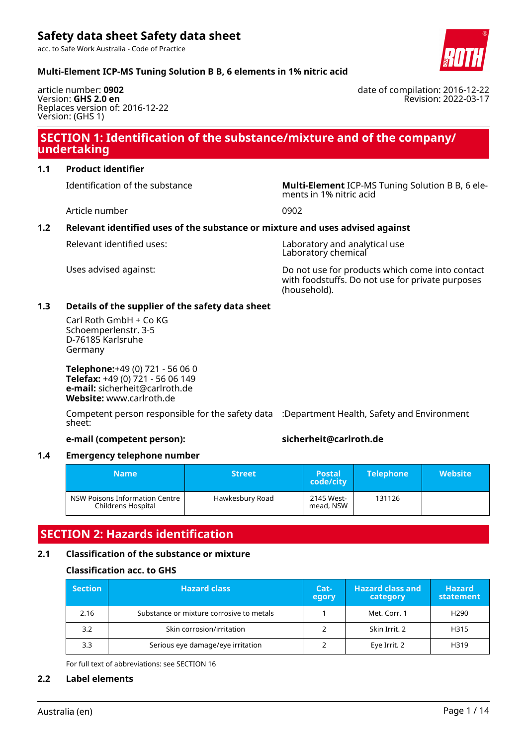acc. to Safe Work Australia - Code of Practice



date of compilation: 2016-12-22

Revision: 2022-03-17

### **Multi-Element ICP-MS Tuning Solution B B, 6 elements in 1% nitric acid**

article number: **0902** Version: **GHS 2.0 en** Replaces version of: 2016-12-22 Version: (GHS 1)

### **SECTION 1: Identification of the substance/mixture and of the company/ undertaking**

### **1.1 Product identifier**

Identification of the substance **Multi-Element** ICP-MS Tuning Solution B B, 6 ele-

Article number 0902

ments in 1% nitric acid

### **1.2 Relevant identified uses of the substance or mixture and uses advised against**

Relevant identified uses: Laboratory and analytical use Laboratory chemical

Uses advised against: Do not use for products which come into contact with foodstuffs. Do not use for private purposes (household).

### **1.3 Details of the supplier of the safety data sheet**

Carl Roth GmbH + Co KG Schoemperlenstr. 3-5 D-76185 Karlsruhe Germany

**Telephone:**+49 (0) 721 - 56 06 0 **Telefax:** +49 (0) 721 - 56 06 149 **e-mail:** sicherheit@carlroth.de **Website:** www.carlroth.de

Competent person responsible for the safety data :Department Health, Safety and Environment sheet:

### **e-mail (competent person): sicherheit@carlroth.de**

### **1.4 Emergency telephone number**

| Name i                                               | <b>Street</b>   | <b>Postal</b><br>code/city | <b>Telephone</b> | <b>Website</b> |
|------------------------------------------------------|-----------------|----------------------------|------------------|----------------|
| NSW Poisons Information Centre<br>Childrens Hospital | Hawkesbury Road | 2145 West-<br>mead, NSW    | 131126           |                |

## **SECTION 2: Hazards identification**

### **2.1 Classification of the substance or mixture**

### **Classification acc. to GHS**

| <b>Section</b> | <b>Hazard class</b>                      | Cat-<br>egory | <b>Hazard class and</b><br>category | <b>Hazard</b><br>statement |
|----------------|------------------------------------------|---------------|-------------------------------------|----------------------------|
| 2.16           | Substance or mixture corrosive to metals |               | Met. Corr. 1                        | H <sub>290</sub>           |
| 3.2            | Skin corrosion/irritation                |               | Skin Irrit. 2                       | H315                       |
| 3.3            | Serious eye damage/eye irritation        |               | Eye Irrit. 2                        | H319                       |

For full text of abbreviations: see SECTION 16

### **2.2 Label elements**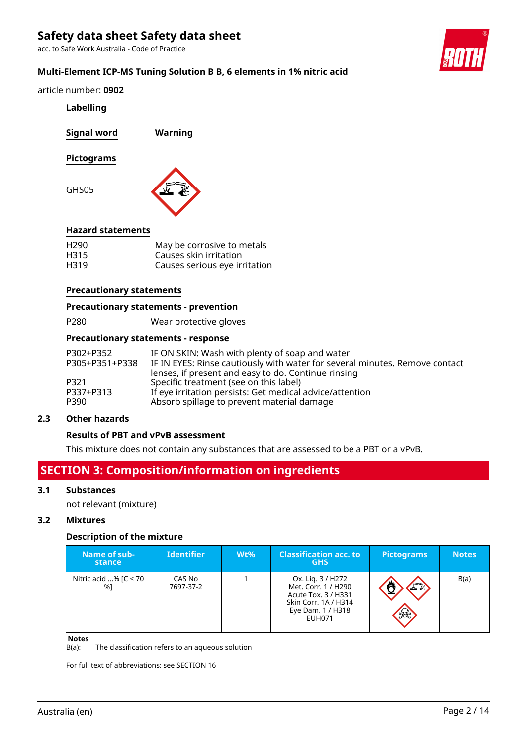acc. to Safe Work Australia - Code of Practice



### **Multi-Element ICP-MS Tuning Solution B B, 6 elements in 1% nitric acid**

| article number: 0902 |  |  |  |
|----------------------|--|--|--|
|----------------------|--|--|--|

| Labelling                       |                                                                                                                               |
|---------------------------------|-------------------------------------------------------------------------------------------------------------------------------|
| Signal word                     | Warning                                                                                                                       |
| <b>Pictograms</b>               |                                                                                                                               |
| GHS05                           |                                                                                                                               |
| <b>Hazard statements</b>        |                                                                                                                               |
| H <sub>290</sub>                | May be corrosive to metals                                                                                                    |
| H315<br>H319                    | Causes skin irritation<br>Causes serious eye irritation                                                                       |
|                                 |                                                                                                                               |
| <b>Precautionary statements</b> |                                                                                                                               |
|                                 | <b>Precautionary statements - prevention</b>                                                                                  |
| P280                            | Wear protective gloves                                                                                                        |
|                                 | <b>Precautionary statements - response</b>                                                                                    |
| P302+P352<br>P305+P351+P338     | IF ON SKIN: Wash with plenty of soap and water<br>IF IN EYES: Rinse cautiously with water for several minutes. Remove contact |
| P321                            | lenses, if present and easy to do. Continue rinsing<br>Specific treatment (see on this label)                                 |
| P337+P313                       | If eye irritation persists: Get medical advice/attention                                                                      |
| P390                            | Absorb spillage to prevent material damage                                                                                    |
| <b>Other hazards</b><br>2.3     |                                                                                                                               |

# **Results of PBT and vPvB assessment**

This mixture does not contain any substances that are assessed to be a PBT or a vPvB.

# **SECTION 3: Composition/information on ingredients**

### **3.1 Substances**

not relevant (mixture)

### **3.2 Mixtures**

### **Description of the mixture**

| Name of sub-<br>stance           | <b>Identifier</b>   | $Wt\%$ | <b>Classification acc. to</b><br><b>GHS</b>                                                                                   | <b>Pictograms</b> | <b>Notes</b> |
|----------------------------------|---------------------|--------|-------------------------------------------------------------------------------------------------------------------------------|-------------------|--------------|
| Nitric acid % [ $C \le 70$<br>%1 | CAS No<br>7697-37-2 |        | Ox. Lig. 3 / H272<br>Met. Corr. 1 / H290<br>Acute Tox. 3 / H331<br>Skin Corr. 1A / H314<br>Eye Dam. 1 / H318<br><b>EUH071</b> | FR<br>$\gg$       | B(a)         |

**Notes**<br>**B**(a): The classification refers to an aqueous solution

For full text of abbreviations: see SECTION 16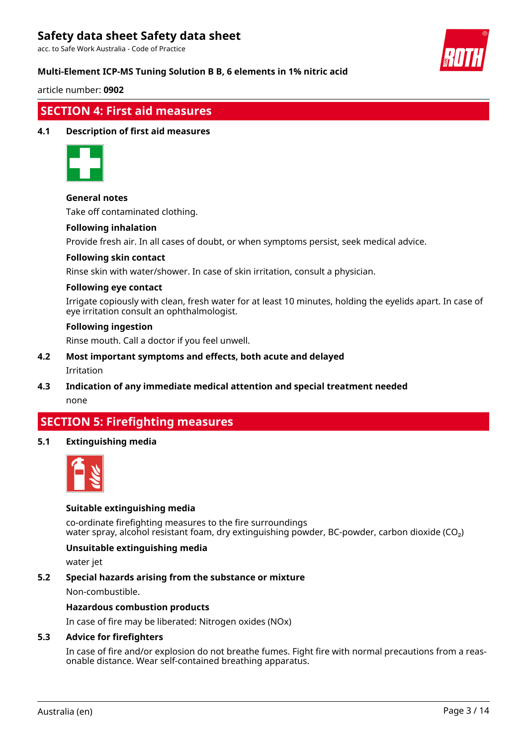acc. to Safe Work Australia - Code of Practice

### **Multi-Element ICP-MS Tuning Solution B B, 6 elements in 1% nitric acid**



#### article number: **0902**

### **SECTION 4: First aid measures**

### **4.1 Description of first aid measures**



### **General notes**

Take off contaminated clothing.

#### **Following inhalation**

Provide fresh air. In all cases of doubt, or when symptoms persist, seek medical advice.

#### **Following skin contact**

Rinse skin with water/shower. In case of skin irritation, consult a physician.

### **Following eye contact**

Irrigate copiously with clean, fresh water for at least 10 minutes, holding the eyelids apart. In case of eye irritation consult an ophthalmologist.

### **Following ingestion**

Rinse mouth. Call a doctor if you feel unwell.

- **4.2 Most important symptoms and effects, both acute and delayed** Irritation
- **4.3 Indication of any immediate medical attention and special treatment needed** none

## **SECTION 5: Firefighting measures**

### **5.1 Extinguishing media**



### **Suitable extinguishing media**

co-ordinate firefighting measures to the fire surroundings water spray, alcohol resistant foam, dry extinguishing powder, BC-powder, carbon dioxide (CO<sub>2</sub>)

### **Unsuitable extinguishing media**

water jet

### **5.2 Special hazards arising from the substance or mixture**

Non-combustible.

### **Hazardous combustion products**

In case of fire may be liberated: Nitrogen oxides (NOx)

#### **5.3 Advice for firefighters**

In case of fire and/or explosion do not breathe fumes. Fight fire with normal precautions from a reasonable distance. Wear self-contained breathing apparatus.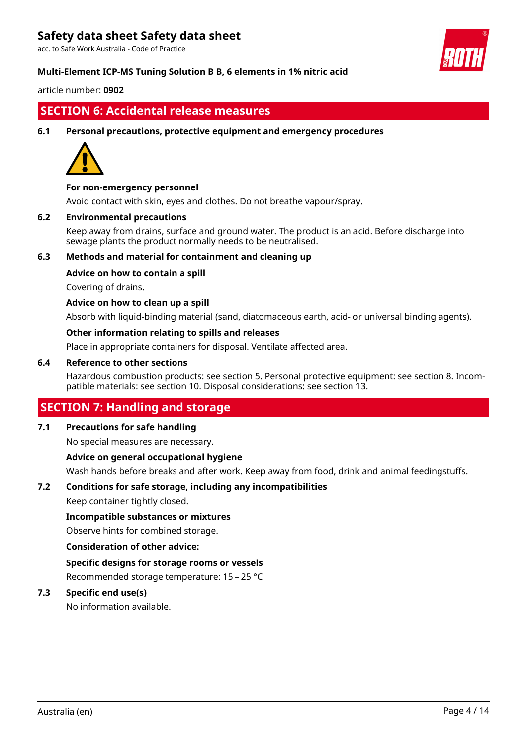acc. to Safe Work Australia - Code of Practice

### **Multi-Element ICP-MS Tuning Solution B B, 6 elements in 1% nitric acid**

article number: **0902**

### **SECTION 6: Accidental release measures**

### **6.1 Personal precautions, protective equipment and emergency procedures**



### **For non-emergency personnel**

Avoid contact with skin, eyes and clothes. Do not breathe vapour/spray.

### **6.2 Environmental precautions**

Keep away from drains, surface and ground water. The product is an acid. Before discharge into sewage plants the product normally needs to be neutralised.

### **6.3 Methods and material for containment and cleaning up**

### **Advice on how to contain a spill**

Covering of drains.

### **Advice on how to clean up a spill**

Absorb with liquid-binding material (sand, diatomaceous earth, acid- or universal binding agents).

### **Other information relating to spills and releases**

Place in appropriate containers for disposal. Ventilate affected area.

### **6.4 Reference to other sections**

Hazardous combustion products: see section 5. Personal protective equipment: see section 8. Incompatible materials: see section 10. Disposal considerations: see section 13.

### **SECTION 7: Handling and storage**

### **7.1 Precautions for safe handling**

No special measures are necessary.

### **Advice on general occupational hygiene**

Wash hands before breaks and after work. Keep away from food, drink and animal feedingstuffs.

### **7.2 Conditions for safe storage, including any incompatibilities**

Keep container tightly closed.

#### **Incompatible substances or mixtures**

Observe hints for combined storage.

#### **Consideration of other advice:**

### **Specific designs for storage rooms or vessels**

Recommended storage temperature: 15 – 25 °C

### **7.3 Specific end use(s)**

No information available.

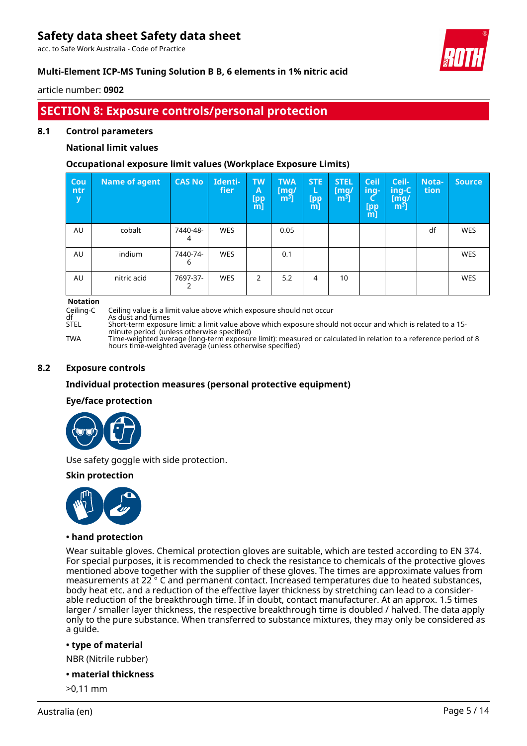acc. to Safe Work Australia - Code of Practice



### **Multi-Element ICP-MS Tuning Solution B B, 6 elements in 1% nitric acid**

article number: **0902**

# **SECTION 8: Exposure controls/personal protection**

### **8.1 Control parameters**

### **National limit values**

### **Occupational exposure limit values (Workplace Exposure Limits)**

| Cou<br>ntr –<br>y | Name of agent | <b>CAS No</b> | Identi-<br>fier | <b>TW</b><br>A<br>[pp<br>$m$ ] | <b>TWA</b><br>$\mathsf{[mq/}%$<br>m <sup>3</sup> | <b>STE</b><br>L<br>[pp<br>m] | <b>STEL</b><br>[mq/<br>m <sup>3</sup> | <b>Ceil</b><br>ing-<br>[pp<br>$m$ ] | Ceil-<br>ing-C<br>[mg/<br>์ $m3$ ] | Nota-<br>tion | Source,    |
|-------------------|---------------|---------------|-----------------|--------------------------------|--------------------------------------------------|------------------------------|---------------------------------------|-------------------------------------|------------------------------------|---------------|------------|
| AU                | cobalt        | 7440-48-<br>4 | <b>WES</b>      |                                | 0.05                                             |                              |                                       |                                     |                                    | df            | <b>WES</b> |
| AU                | indium        | 7440-74-<br>6 | <b>WES</b>      |                                | 0.1                                              |                              |                                       |                                     |                                    |               | <b>WES</b> |
| AU                | nitric acid   | 7697-37-      | <b>WES</b>      | 2                              | 5.2                                              | 4                            | 10                                    |                                     |                                    |               | <b>WES</b> |

**Notation**

Ceiling-C Ceiling value is a limit value above which exposure should not occur

df As dust and fumes<br>STEL Short-term exposu

STEL Short-term exposure limit: a limit value above which exposure should not occur and which is related to a 15 minute period (unless otherwise specified) TWA Time-weighted average (long-term exposure limit): measured or calculated in relation to a reference period of 8 hours time-weighted average (unless otherwise specified)

### **8.2 Exposure controls**

### **Individual protection measures (personal protective equipment)**

### **Eye/face protection**



Use safety goggle with side protection.

### **Skin protection**



#### **• hand protection**

Wear suitable gloves. Chemical protection gloves are suitable, which are tested according to EN 374. For special purposes, it is recommended to check the resistance to chemicals of the protective gloves mentioned above together with the supplier of these gloves. The times are approximate values from measurements at 22<sup>°</sup> C and permanent contact. Increased temperatures due to heated substances, body heat etc. and a reduction of the effective layer thickness by stretching can lead to a considerable reduction of the breakthrough time. If in doubt, contact manufacturer. At an approx. 1.5 times larger / smaller layer thickness, the respective breakthrough time is doubled / halved. The data apply only to the pure substance. When transferred to substance mixtures, they may only be considered as a guide.

#### **• type of material**

NBR (Nitrile rubber)

- **material thickness**
- >0,11 mm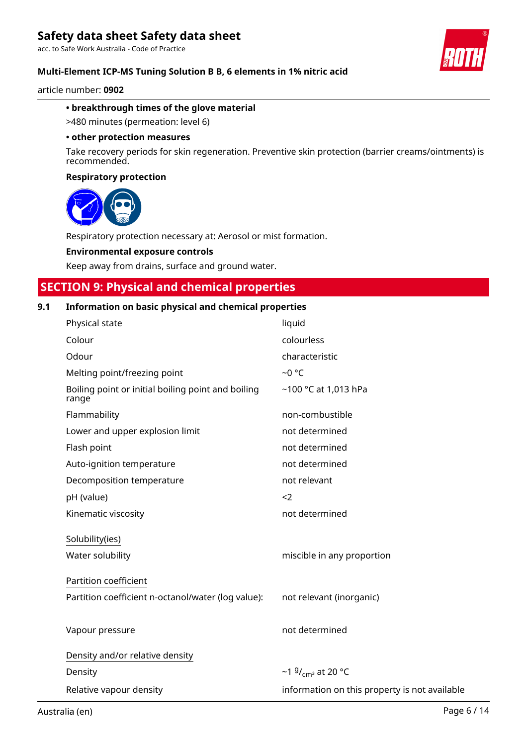acc. to Safe Work Australia - Code of Practice

### **Multi-Element ICP-MS Tuning Solution B B, 6 elements in 1% nitric acid**

article number: **0902**

### **• breakthrough times of the glove material**

>480 minutes (permeation: level 6)

#### **• other protection measures**

Take recovery periods for skin regeneration. Preventive skin protection (barrier creams/ointments) is recommended.

### **Respiratory protection**



Respiratory protection necessary at: Aerosol or mist formation.

### **Environmental exposure controls**

Keep away from drains, surface and ground water.

# **SECTION 9: Physical and chemical properties**

### **9.1 Information on basic physical and chemical properties**

| Physical state                                              | liquid                                        |
|-------------------------------------------------------------|-----------------------------------------------|
| Colour                                                      | colourless                                    |
| Odour                                                       | characteristic                                |
| Melting point/freezing point                                | $-0$ °C                                       |
| Boiling point or initial boiling point and boiling<br>range | ~100 °C at 1,013 hPa                          |
| Flammability                                                | non-combustible                               |
| Lower and upper explosion limit                             | not determined                                |
| Flash point                                                 | not determined                                |
| Auto-ignition temperature                                   | not determined                                |
| Decomposition temperature                                   | not relevant                                  |
| pH (value)                                                  | $<$ 2                                         |
| Kinematic viscosity                                         | not determined                                |
| Solubility(ies)                                             |                                               |
| Water solubility                                            | miscible in any proportion                    |
| Partition coefficient                                       |                                               |
| Partition coefficient n-octanol/water (log value):          | not relevant (inorganic)                      |
|                                                             |                                               |
| Vapour pressure                                             | not determined                                |
| Density and/or relative density                             |                                               |
| Density                                                     | ~1 $9/$ <sub>cm</sub> at 20 °C                |
| Relative vapour density                                     | information on this property is not available |
|                                                             |                                               |

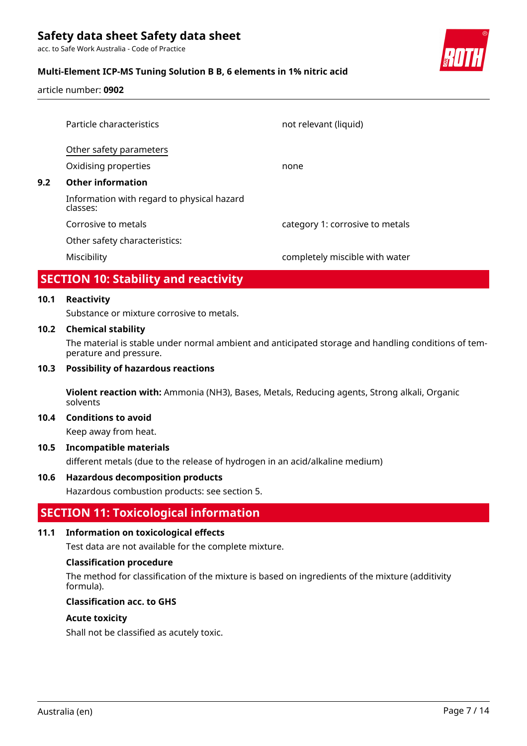acc. to Safe Work Australia - Code of Practice

### **Multi-Element ICP-MS Tuning Solution B B, 6 elements in 1% nitric acid**

article number: **0902**

|     | APARYA LIJA A. I 'I'. III. III. I 'I'                  |                                 |
|-----|--------------------------------------------------------|---------------------------------|
|     | Miscibility                                            | completely miscible with water  |
|     | Other safety characteristics:                          |                                 |
|     | Corrosive to metals                                    | category 1: corrosive to metals |
|     | Information with regard to physical hazard<br>classes: |                                 |
| 9.2 | <b>Other information</b>                               |                                 |
|     | Oxidising properties                                   | none                            |
|     | Other safety parameters                                |                                 |
|     | Particle characteristics                               | not relevant (liquid)           |
|     |                                                        |                                 |

## **SECTION 10: Stability and reactivity**

### **10.1 Reactivity**

Substance or mixture corrosive to metals.

### **10.2 Chemical stability**

The material is stable under normal ambient and anticipated storage and handling conditions of temperature and pressure.

### **10.3 Possibility of hazardous reactions**

**Violent reaction with:** Ammonia (NH3), Bases, Metals, Reducing agents, Strong alkali, Organic solvents

#### **10.4 Conditions to avoid**

Keep away from heat.

### **10.5 Incompatible materials**

different metals (due to the release of hydrogen in an acid/alkaline medium)

#### **10.6 Hazardous decomposition products**

Hazardous combustion products: see section 5.

### **SECTION 11: Toxicological information**

### **11.1 Information on toxicological effects**

Test data are not available for the complete mixture.

#### **Classification procedure**

The method for classification of the mixture is based on ingredients of the mixture (additivity formula).

### **Classification acc. to GHS**

#### **Acute toxicity**

Shall not be classified as acutely toxic.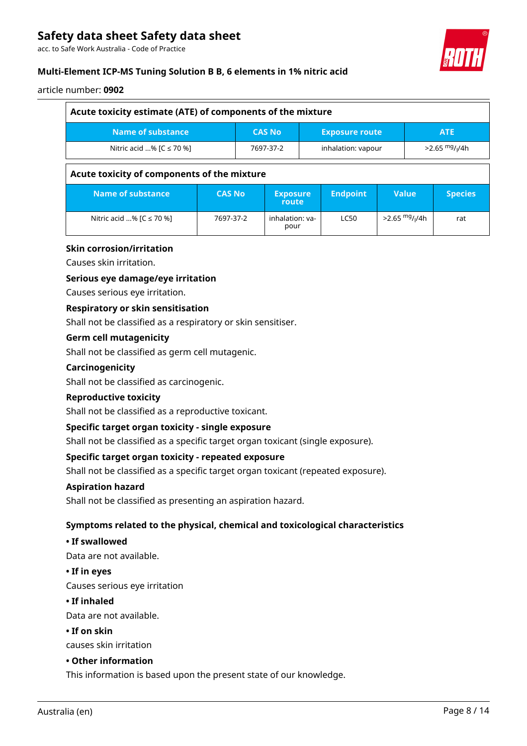acc. to Safe Work Australia - Code of Practice

### **Multi-Element ICP-MS Tuning Solution B B, 6 elements in 1% nitric acid**

#### article number: **0902**

| Acute toxicity estimate (ATE) of components of the mixture                |               |                          |                                 |                                |                 |                              |                |
|---------------------------------------------------------------------------|---------------|--------------------------|---------------------------------|--------------------------------|-----------------|------------------------------|----------------|
| Name of substance<br><b>CAS No</b><br><b>Exposure route</b><br><b>ATE</b> |               |                          |                                 |                                |                 |                              |                |
| Nitric acid % $[C \le 70$ %]                                              |               |                          | inhalation: vapour<br>7697-37-2 |                                |                 | $>2.65$ mg/ <sub>I</sub> /4h |                |
| Acute toxicity of components of the mixture                               |               |                          |                                 |                                |                 |                              |                |
| Name of substance                                                         | <b>CAS No</b> | <b>Exposure</b><br>route |                                 |                                | <b>Endpoint</b> | <b>Value</b>                 | <b>Species</b> |
| Nitric acid % $[C \le 70$ %]                                              | 7697-37-2     | pour                     |                                 | inhalation: ya-<br><b>LC50</b> |                 | $>2.65$ mg/ <sub>1</sub> /4h | rat            |

### **Skin corrosion/irritation**

Causes skin irritation.

### **Serious eye damage/eye irritation**

Causes serious eye irritation.

### **Respiratory or skin sensitisation**

Shall not be classified as a respiratory or skin sensitiser.

### **Germ cell mutagenicity**

Shall not be classified as germ cell mutagenic.

### **Carcinogenicity**

Shall not be classified as carcinogenic.

#### **Reproductive toxicity**

Shall not be classified as a reproductive toxicant.

### **Specific target organ toxicity - single exposure**

Shall not be classified as a specific target organ toxicant (single exposure).

### **Specific target organ toxicity - repeated exposure**

Shall not be classified as a specific target organ toxicant (repeated exposure).

### **Aspiration hazard**

Shall not be classified as presenting an aspiration hazard.

### **Symptoms related to the physical, chemical and toxicological characteristics**

### **• If swallowed**

Data are not available.

#### **• If in eyes**

Causes serious eye irritation

### **• If inhaled**

Data are not available.

### **• If on skin**

causes skin irritation

### **• Other information**

This information is based upon the present state of our knowledge.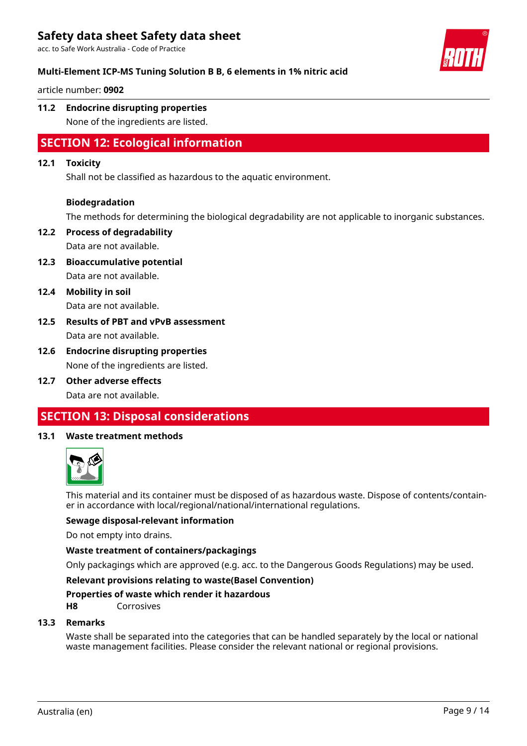acc. to Safe Work Australia - Code of Practice



### **Multi-Element ICP-MS Tuning Solution B B, 6 elements in 1% nitric acid**

article number: **0902**

# **11.2 Endocrine disrupting properties**

None of the ingredients are listed.

# **SECTION 12: Ecological information**

### **12.1 Toxicity**

Shall not be classified as hazardous to the aquatic environment.

### **Biodegradation**

The methods for determining the biological degradability are not applicable to inorganic substances.

- **12.2 Process of degradability** Data are not available.
- **12.3 Bioaccumulative potential** Data are not available.
- **12.4 Mobility in soil** Data are not available.
- **12.5 Results of PBT and vPvB assessment** Data are not available.
- **12.6 Endocrine disrupting properties** None of the ingredients are listed.
- **12.7 Other adverse effects**

Data are not available.

## **SECTION 13: Disposal considerations**

### **13.1 Waste treatment methods**



This material and its container must be disposed of as hazardous waste. Dispose of contents/container in accordance with local/regional/national/international regulations.

### **Sewage disposal-relevant information**

Do not empty into drains.

### **Waste treatment of containers/packagings**

Only packagings which are approved (e.g. acc. to the Dangerous Goods Regulations) may be used.

### **Relevant provisions relating to waste(Basel Convention)**

### **Properties of waste which render it hazardous**

**H8** Corrosives

### **13.3 Remarks**

Waste shall be separated into the categories that can be handled separately by the local or national waste management facilities. Please consider the relevant national or regional provisions.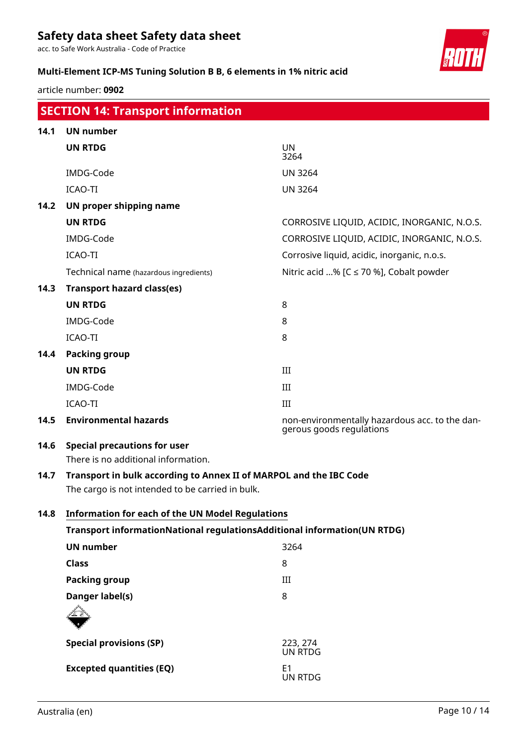acc. to Safe Work Australia - Code of Practice

### **Multi-Element ICP-MS Tuning Solution B B, 6 elements in 1% nitric acid**

article number: **0902**

|      | <b>SECTION 14: Transport information</b>                                 |                                                                            |
|------|--------------------------------------------------------------------------|----------------------------------------------------------------------------|
| 14.1 | <b>UN number</b>                                                         |                                                                            |
|      | <b>UN RTDG</b>                                                           | <b>UN</b><br>3264                                                          |
|      | IMDG-Code                                                                | <b>UN 3264</b>                                                             |
|      | <b>ICAO-TI</b>                                                           | <b>UN 3264</b>                                                             |
| 14.2 | UN proper shipping name                                                  |                                                                            |
|      | <b>UN RTDG</b>                                                           | CORROSIVE LIQUID, ACIDIC, INORGANIC, N.O.S.                                |
|      | IMDG-Code                                                                | CORROSIVE LIQUID, ACIDIC, INORGANIC, N.O.S.                                |
|      | ICAO-TI                                                                  | Corrosive liquid, acidic, inorganic, n.o.s.                                |
|      | Technical name (hazardous ingredients)                                   | Nitric acid % [ $C \le 70$ %], Cobalt powder                               |
| 14.3 | <b>Transport hazard class(es)</b>                                        |                                                                            |
|      | <b>UN RTDG</b>                                                           | 8                                                                          |
|      | IMDG-Code                                                                | 8                                                                          |
|      | ICAO-TI                                                                  | 8                                                                          |
| 14.4 | <b>Packing group</b>                                                     |                                                                            |
|      | <b>UN RTDG</b>                                                           | III                                                                        |
|      | IMDG-Code                                                                | III                                                                        |
|      | ICAO-TI                                                                  | III                                                                        |
| 14.5 | <b>Environmental hazards</b>                                             | non-environmentally hazardous acc. to the dan-<br>gerous goods regulations |
| 14.6 | <b>Special precautions for user</b>                                      |                                                                            |
|      | There is no additional information.                                      |                                                                            |
| 14.7 | Transport in bulk according to Annex II of MARPOL and the IBC Code       |                                                                            |
|      | The cargo is not intended to be carried in bulk.                         |                                                                            |
| 14.8 | <b>Information for each of the UN Model Regulations</b>                  |                                                                            |
|      | Transport informationNational regulationsAdditional information(UN RTDG) |                                                                            |
|      | <b>UN number</b>                                                         | 3264                                                                       |
|      | <b>Class</b>                                                             | 8                                                                          |
|      | <b>Packing group</b>                                                     | III                                                                        |
|      | Danger label(s)                                                          | 8                                                                          |
|      |                                                                          |                                                                            |
|      | <b>Special provisions (SP)</b>                                           | 223, 274<br><b>UN RTDG</b>                                                 |
|      | <b>Excepted quantities (EQ)</b>                                          | E <sub>1</sub><br>UN RTDG                                                  |

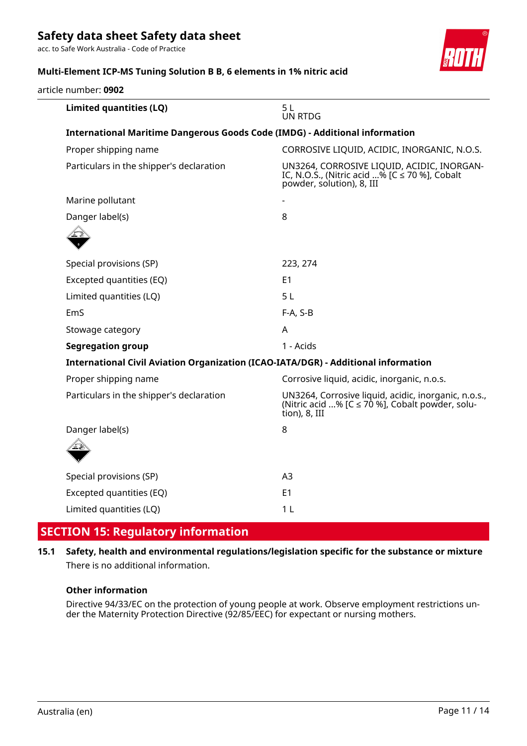acc. to Safe Work Australia - Code of Practice



### **Multi-Element ICP-MS Tuning Solution B B, 6 elements in 1% nitric acid**

article number: **0902**

| Limited quantities (LQ)                                                            | 5L<br><b>UN RTDG</b>                                                                                                          |
|------------------------------------------------------------------------------------|-------------------------------------------------------------------------------------------------------------------------------|
| <b>International Maritime Dangerous Goods Code (IMDG) - Additional information</b> |                                                                                                                               |
| Proper shipping name                                                               | CORROSIVE LIQUID, ACIDIC, INORGANIC, N.O.S.                                                                                   |
| Particulars in the shipper's declaration                                           | UN3264, CORROSIVE LIQUID, ACIDIC, INORGAN-<br>IC, N.O.S., (Nitric acid % [C ≤ 70 %], Cobalt<br>powder, solution), 8, III      |
| Marine pollutant                                                                   |                                                                                                                               |
| Danger label(s)                                                                    | 8                                                                                                                             |
|                                                                                    |                                                                                                                               |
| Special provisions (SP)                                                            | 223, 274                                                                                                                      |
| Excepted quantities (EQ)                                                           | E <sub>1</sub>                                                                                                                |
| Limited quantities (LQ)                                                            | 5 <sub>L</sub>                                                                                                                |
| EmS                                                                                | $F-A, S-B$                                                                                                                    |
| Stowage category                                                                   | A                                                                                                                             |
| <b>Segregation group</b>                                                           | 1 - Acids                                                                                                                     |
| International Civil Aviation Organization (ICAO-IATA/DGR) - Additional information |                                                                                                                               |
| Proper shipping name                                                               | Corrosive liquid, acidic, inorganic, n.o.s.                                                                                   |
| Particulars in the shipper's declaration                                           | UN3264, Corrosive liquid, acidic, inorganic, n.o.s.,<br>(Nitric acid % [C $\leq$ 70 %], Cobalt powder, solu-<br>tion), 8, III |
| Danger label(s)                                                                    | 8                                                                                                                             |
|                                                                                    |                                                                                                                               |
| Special provisions (SP)                                                            | A3                                                                                                                            |
| Excepted quantities (EQ)                                                           | E <sub>1</sub>                                                                                                                |
| Limited quantities (LQ)                                                            | 1 <sub>L</sub>                                                                                                                |
|                                                                                    |                                                                                                                               |

# **SECTION 15: Regulatory information**

### **15.1 Safety, health and environmental regulations/legislation specific for the substance or mixture** There is no additional information.

### **Other information**

Directive 94/33/EC on the protection of young people at work. Observe employment restrictions under the Maternity Protection Directive (92/85/EEC) for expectant or nursing mothers.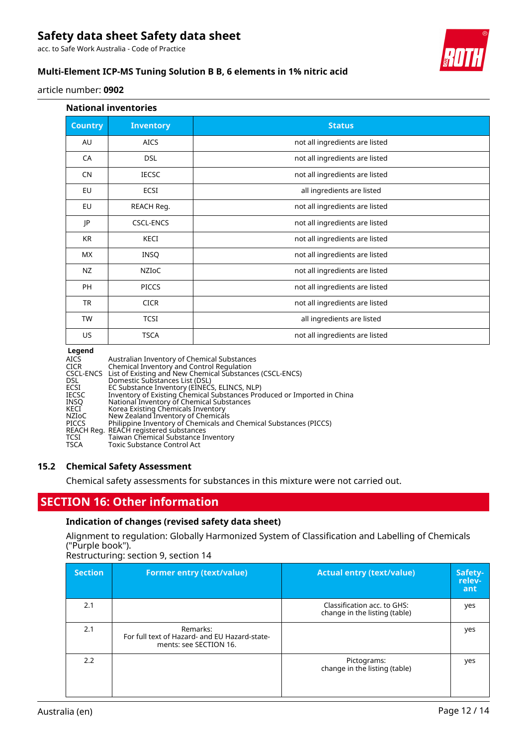acc. to Safe Work Australia - Code of Practice

### **Multi-Element ICP-MS Tuning Solution B B, 6 elements in 1% nitric acid**

article number: **0902**

| <b>National inventories</b> |                  |                                |  |  |  |  |
|-----------------------------|------------------|--------------------------------|--|--|--|--|
| <b>Country</b>              | <b>Inventory</b> | <b>Status</b>                  |  |  |  |  |
| AU                          | <b>AICS</b>      | not all ingredients are listed |  |  |  |  |
| CA                          | <b>DSL</b>       | not all ingredients are listed |  |  |  |  |
| <b>CN</b>                   | <b>IECSC</b>     | not all ingredients are listed |  |  |  |  |
| EU                          | ECSI             | all ingredients are listed     |  |  |  |  |
| EU                          | REACH Reg.       | not all ingredients are listed |  |  |  |  |
| JP                          | <b>CSCL-ENCS</b> | not all ingredients are listed |  |  |  |  |
| <b>KR</b>                   | KECI             | not all ingredients are listed |  |  |  |  |
| <b>MX</b>                   | <b>INSQ</b>      | not all ingredients are listed |  |  |  |  |
| NZ                          | <b>NZIOC</b>     | not all ingredients are listed |  |  |  |  |
| <b>PH</b>                   | <b>PICCS</b>     | not all ingredients are listed |  |  |  |  |
| <b>TR</b>                   | <b>CICR</b>      | not all ingredients are listed |  |  |  |  |
| TW                          | <b>TCSI</b>      | all ingredients are listed     |  |  |  |  |
| US                          | <b>TSCA</b>      | not all ingredients are listed |  |  |  |  |

#### **Legend**

| AICS<br>CICR | Australian Inventory of Chemical Substances<br>Chemical Inventory and Control Regulation |
|--------------|------------------------------------------------------------------------------------------|
|              | CSCL-ENCS List of Existing and New Chemical Substances (CSCL-ENCS)                       |
| DSL.         | Domestic Substances List (DSL)                                                           |
| ECSI         | EC Substance Inventory (EINECS, ELINCS, NLP)                                             |
| IECSC        | Inventory of Existing Chemical Substances Produced or Imported in China                  |
| INSO         | National Inventory of Chemical Substances                                                |
| KECI         | Korea Existing Chemicals Inventory                                                       |
| NZIoC        | New Zealand Inventory of Chemicals                                                       |
| PICCS        | Philippine Inventory of Chemicals and Chemical Substances (PICCS)                        |
|              | REACH Reg. REACH registered substances                                                   |
| TCSI         | Taiwan Chemical Substance Inventory                                                      |
| TSCA         | <b>Toxic Substance Control Act</b>                                                       |

#### **15.2 Chemical Safety Assessment**

Chemical safety assessments for substances in this mixture were not carried out.

## **SECTION 16: Other information**

### **Indication of changes (revised safety data sheet)**

Alignment to regulation: Globally Harmonized System of Classification and Labelling of Chemicals ("Purple book").

### Restructuring: section 9, section 14

| <b>Section</b> | <b>Former entry (text/value)</b>                                                    | <b>Actual entry (text/value)</b>                             | Safety-<br>relev-<br>ant |
|----------------|-------------------------------------------------------------------------------------|--------------------------------------------------------------|--------------------------|
| 2.1            |                                                                                     | Classification acc. to GHS:<br>change in the listing (table) | yes                      |
| 2.1            | Remarks:<br>For full text of Hazard- and EU Hazard-state-<br>ments: see SECTION 16. |                                                              | yes                      |
| 2.2            |                                                                                     | Pictograms:<br>change in the listing (table)                 | yes                      |

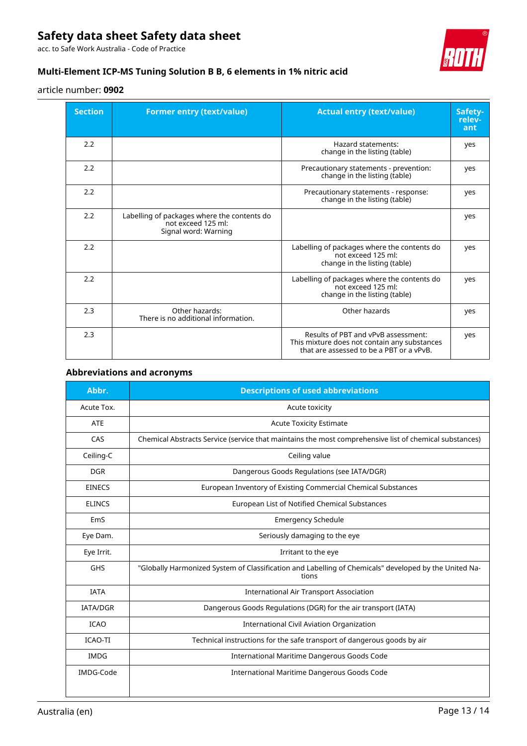acc. to Safe Work Australia - Code of Practice



### **Multi-Element ICP-MS Tuning Solution B B, 6 elements in 1% nitric acid**

### article number: **0902**

| <b>Section</b> | <b>Former entry (text/value)</b>                                                          | <b>Actual entry (text/value)</b>                                                                                                | Safety-<br>relev-<br>ant |
|----------------|-------------------------------------------------------------------------------------------|---------------------------------------------------------------------------------------------------------------------------------|--------------------------|
| 2.2            |                                                                                           | Hazard statements:<br>change in the listing (table)                                                                             | yes                      |
| 2.2            |                                                                                           | Precautionary statements - prevention:<br>change in the listing (table)                                                         | yes                      |
| 2.2            |                                                                                           | Precautionary statements - response:<br>change in the listing (table)                                                           | yes                      |
| 2.2            | Labelling of packages where the contents do<br>not exceed 125 ml:<br>Signal word: Warning |                                                                                                                                 | yes                      |
| 2.2            |                                                                                           | Labelling of packages where the contents do<br>not exceed 125 ml:<br>change in the listing (table)                              | yes                      |
| 2.2            |                                                                                           | Labelling of packages where the contents do<br>not exceed 125 ml:<br>change in the listing (table)                              | yes                      |
| 2.3            | Other hazards:<br>There is no additional information.                                     | Other hazards                                                                                                                   | yes                      |
| 2.3            |                                                                                           | Results of PBT and vPvB assessment:<br>This mixture does not contain any substances<br>that are assessed to be a PBT or a vPvB. | yes                      |

### **Abbreviations and acronyms**

| Abbr.           | <b>Descriptions of used abbreviations</b>                                                                      |
|-----------------|----------------------------------------------------------------------------------------------------------------|
| Acute Tox.      | Acute toxicity                                                                                                 |
| <b>ATE</b>      | <b>Acute Toxicity Estimate</b>                                                                                 |
| CAS             | Chemical Abstracts Service (service that maintains the most comprehensive list of chemical substances)         |
| Ceiling-C       | Ceiling value                                                                                                  |
| <b>DGR</b>      | Dangerous Goods Regulations (see IATA/DGR)                                                                     |
| <b>EINECS</b>   | European Inventory of Existing Commercial Chemical Substances                                                  |
| <b>ELINCS</b>   | European List of Notified Chemical Substances                                                                  |
| EmS             | <b>Emergency Schedule</b>                                                                                      |
| Eye Dam.        | Seriously damaging to the eye                                                                                  |
| Eye Irrit.      | Irritant to the eye                                                                                            |
| <b>GHS</b>      | "Globally Harmonized System of Classification and Labelling of Chemicals" developed by the United Na-<br>tions |
| <b>IATA</b>     | <b>International Air Transport Association</b>                                                                 |
| <b>IATA/DGR</b> | Dangerous Goods Regulations (DGR) for the air transport (IATA)                                                 |
| <b>ICAO</b>     | <b>International Civil Aviation Organization</b>                                                               |
| <b>ICAO-TI</b>  | Technical instructions for the safe transport of dangerous goods by air                                        |
| <b>IMDG</b>     | <b>International Maritime Dangerous Goods Code</b>                                                             |
| IMDG-Code       | International Maritime Dangerous Goods Code                                                                    |